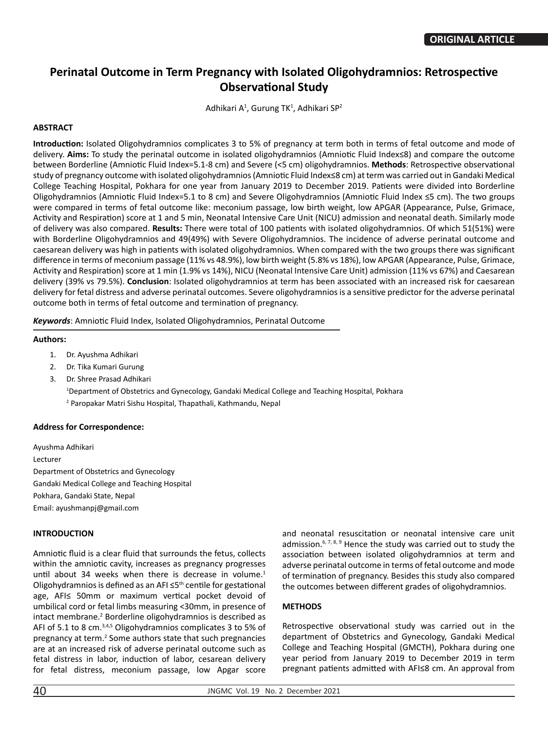# **Perinatal Outcome in Term Pregnancy with Isolated Oligohydramnios: Retrospective Observational Study**

Adhikari A<sup>1</sup>, Gurung TK<sup>1</sup>, Adhikari SP<sup>2</sup>

## **ABSTRACT**

**Introduction:** Isolated Oligohydramnios complicates 3 to 5% of pregnancy at term both in terms of fetal outcome and mode of delivery. **Aims:** To study the perinatal outcome in isolated oligohydramnios (Amniotic Fluid Index≤8) and compare the outcome between Borderline (Amniotic Fluid Index=5.1-8 cm) and Severe (<5 cm) oligohydramnios. **Methods**: Retrospective observational study of pregnancy outcome with isolated oligohydramnios (Amniotic Fluid Index≤8 cm) at term was carried out in Gandaki Medical College Teaching Hospital, Pokhara for one year from January 2019 to December 2019. Patients were divided into Borderline Oligohydramnios (Amniotic Fluid Index=5.1 to 8 cm) and Severe Oligohydramnios (Amniotic Fluid Index ≤5 cm). The two groups were compared in terms of fetal outcome like: meconium passage, low birth weight, low APGAR (Appearance, Pulse, Grimace, Activity and Respiration) score at 1 and 5 min, Neonatal Intensive Care Unit (NICU) admission and neonatal death. Similarly mode of delivery was also compared. **Results:** There were total of 100 patients with isolated oligohydramnios. Of which 51(51%) were with Borderline Oligohydramnios and 49(49%) with Severe Oligohydramnios. The incidence of adverse perinatal outcome and caesarean delivery was high in patients with isolated oligohydramnios. When compared with the two groups there was significant difference in terms of meconium passage (11% vs 48.9%), low birth weight (5.8% vs 18%), low APGAR (Appearance, Pulse, Grimace, Activity and Respiration) score at 1 min (1.9% vs 14%), NICU (Neonatal Intensive Care Unit) admission (11% vs 67%) and Caesarean delivery (39% vs 79.5%). **Conclusion**: Isolated oligohydramnios at term has been associated with an increased risk for caesarean delivery for fetal distress and adverse perinatal outcomes. Severe oligohydramnios is a sensitive predictor for the adverse perinatal outcome both in terms of fetal outcome and termination of pregnancy.

*Keywords*: Amniotic Fluid Index, Isolated Oligohydramnios, Perinatal Outcome

#### **Authors:**

- 1. Dr. Ayushma Adhikari
- 2. Dr. Tika Kumari Gurung
- 3. Dr. Shree Prasad Adhikari 1 Department of Obstetrics and Gynecology, Gandaki Medical College and Teaching Hospital, Pokhara 2 Paropakar Matri Sishu Hospital, Thapathali, Kathmandu, Nepal

#### **Address for Correspondence:**

Ayushma Adhikari Lecturer Department of Obstetrics and Gynecology Gandaki Medical College and Teaching Hospital Pokhara, Gandaki State, Nepal Email: ayushmanpj@gmail.com

#### **INTRODUCTION**

Amniotic fluid is a clear fluid that surrounds the fetus, collects within the amniotic cavity, increases as pregnancy progresses until about 34 weeks when there is decrease in volume. $1$ Oligohydramnios is defined as an AFI ≤5<sup>th</sup> centile for gestational age, AFI≤ 50mm or maximum vertical pocket devoid of umbilical cord or fetal limbs measuring <30mm, in presence of intact membrane.<sup>2</sup> Borderline oligohydramnios is described as AFI of 5.1 to 8 cm.3,4,5 Oligohydramnios complicates 3 to 5% of pregnancy at term.<sup>2</sup> Some authors state that such pregnancies are at an increased risk of adverse perinatal outcome such as fetal distress in labor, induction of labor, cesarean delivery for fetal distress, meconium passage, low Apgar score

and neonatal resuscitation or neonatal intensive care unit admission.<sup>6, 7, 8, 9</sup> Hence the study was carried out to study the association between isolated oligohydramnios at term and adverse perinatal outcome in terms of fetal outcome and mode of termination of pregnancy. Besides this study also compared the outcomes between different grades of oligohydramnios.

# **METHODS**

Retrospective observational study was carried out in the department of Obstetrics and Gynecology, Gandaki Medical College and Teaching Hospital (GMCTH), Pokhara during one year period from January 2019 to December 2019 in term pregnant patients admitted with AFI≤8 cm. An approval from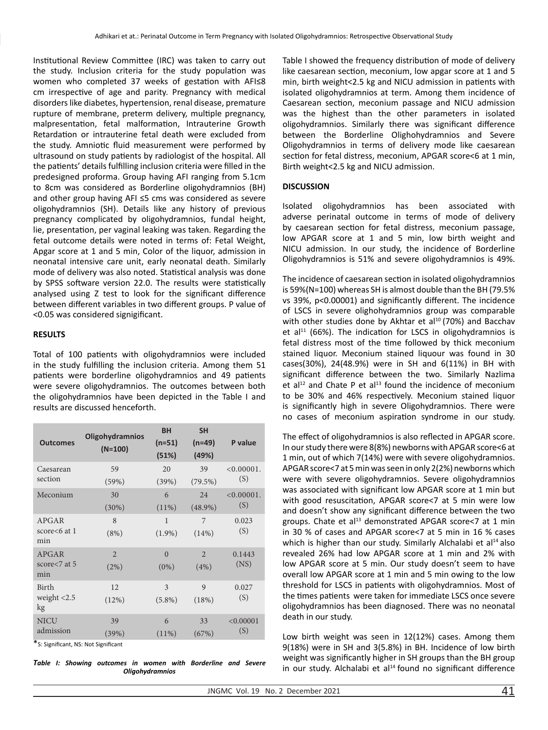Institutional Review Committee (IRC) was taken to carry out the study. Inclusion criteria for the study population was women who completed 37 weeks of gestation with AFI≤8 cm irrespective of age and parity. Pregnancy with medical disorders like diabetes, hypertension, renal disease, premature rupture of membrane, preterm delivery, multiple pregnancy, malpresentation, fetal malformation, Intrauterine Growth Retardation or intrauterine fetal death were excluded from the study. Amniotic fluid measurement were performed by ultrasound on study patients by radiologist of the hospital. All the patients' details fulfilling inclusion criteria were filled in the predesigned proforma. Group having AFI ranging from 5.1cm to 8cm was considered as Borderline oligohydramnios (BH) and other group having AFI ≤5 cms was considered as severe oligohydramnios (SH). Details like any history of previous pregnancy complicated by oligohydramnios, fundal height, lie, presentation, per vaginal leaking was taken. Regarding the fetal outcome details were noted in terms of: Fetal Weight, Apgar score at 1 and 5 min, Color of the liquor, admission in neonatal intensive care unit, early neonatal death. Similarly mode of delivery was also noted. Statistical analysis was done by SPSS software version 22.0. The results were statistically analysed using Z test to look for the significant difference between different variables in two different groups. P value of <0.05 was considered signigificant.

### **RESULTS**

Total of 100 patients with oligohydramnios were included in the study fulfilling the inclusion criteria. Among them 51 patients were borderline oligohydramnios and 49 patients were severe oligohydramnios. The outcomes between both the oligohydramnios have been depicted in the Table I and results are discussed henceforth.

| <b>Outcomes</b>                         | <b>Oligohydramnios</b><br>$(N=100)$ | <b>BH</b><br>$(n=51)$<br>(51%) | <b>SH</b><br>(n=49)<br>(49%) | P value              |
|-----------------------------------------|-------------------------------------|--------------------------------|------------------------------|----------------------|
| Caesarean<br>section                    | 59<br>(59%)                         | 20<br>(39%)                    | 39<br>$(79.5\%)$             | $< 0.00001$ .<br>(S) |
| Meconium                                | 30<br>(30%)                         | 6<br>$(11\%)$                  | 24<br>$(48.9\%)$             | $< 0.00001$ .<br>(S) |
| <b>APGAR</b><br>score $< 6$ at 1<br>min | 8<br>(8%)                           | $\mathbf{1}$<br>$(1.9\%)$      | 7<br>$(14\%)$                | 0.023<br>(S)         |
| APGAR<br>score $< 7$ at 5<br>min        | $\overline{2}$<br>(2%)              | $\Omega$<br>$(0\%)$            | $\mathfrak{D}$<br>(4%)       | 0.1443<br>(NS)       |
| Birth<br>weight $< 2.5$<br>kg           | 12<br>(12%)                         | 3<br>$(5.8\%)$                 | $\mathbf Q$<br>(18%)         | 0.027<br>(S)         |
| <b>NICU</b><br>admission                | 39<br>(39%)                         | 6<br>$(11\%)$                  | 33<br>(67%)                  | < 0.00001<br>(S)     |

\*S: Significant, NS: Not Significant

*Table I: Showing outcomes in women with Borderline and Severe Oligohydramnios*

Table I showed the frequency distribution of mode of delivery like caesarean section, meconium, low apgar score at 1 and 5 min, birth weight<2.5 kg and NICU admission in patients with isolated oligohydramnios at term. Among them incidence of Caesarean section, meconium passage and NICU admission was the highest than the other parameters in isolated oligohydramnios. Similarly there was significant difference between the Borderline Olighohydramnios and Severe Oligohydramnios in terms of delivery mode like caesarean section for fetal distress, meconium, APGAR score<6 at 1 min, Birth weight<2.5 kg and NICU admission.

## **DISCUSSION**

Isolated oligohydramnios has been associated with adverse perinatal outcome in terms of mode of delivery by caesarean section for fetal distress, meconium passage, low APGAR score at 1 and 5 min, low birth weight and NICU admission. In our study, the incidence of Borderline Oligohydramnios is 51% and severe oligohydramnios is 49%.

The incidence of caesarean section in isolated oligohydramnios is 59%(N=100) whereas SH is almost double than the BH (79.5% vs 39%, p<0.00001) and significantly different. The incidence of LSCS in severe olighohydramnios group was comparable with other studies done by Akhtar et al<sup>10</sup> (70%) and Bacchav et al $^{11}$  (66%). The indication for LSCS in oligohydramnios is fetal distress most of the time followed by thick meconium stained liquor. Meconium stained liquour was found in 30 cases(30%), 24(48.9%) were in SH and 6(11%) in BH with significant difference between the two. Similarly Nazlima et al<sup>12</sup> and Chate P et al<sup>13</sup> found the incidence of meconium to be 30% and 46% respectively. Meconium stained liquor is significantly high in severe Oligohydramnios. There were no cases of meconium aspiration syndrome in our study.

The effect of oligohydramnios is also reflected in APGAR score. In our study there were 8(8%) newborns with APGAR score<6 at 1 min, out of which 7(14%) were with severe oligohydramnios. APGAR score<7 at 5 min was seen in only 2(2%) newborns which were with severe oligohydramnios. Severe oligohydramnios was associated with significant low APGAR score at 1 min but with good resuscitation, APGAR score<7 at 5 min were low and doesn't show any significant difference between the two groups. Chate et al<sup>13</sup> demonstrated APGAR score<7 at 1 min in 30 % of cases and APGAR score<7 at 5 min in 16 % cases which is higher than our study. Similarly Alchalabi et al<sup>14</sup> also revealed 26% had low APGAR score at 1 min and 2% with low APGAR score at 5 min. Our study doesn't seem to have overall low APGAR score at 1 min and 5 min owing to the low threshold for LSCS in patients with oligohydramnios. Most of the times patients were taken for immediate LSCS once severe oligohydramnios has been diagnosed. There was no neonatal death in our study.

Low birth weight was seen in 12(12%) cases. Among them 9(18%) were in SH and 3(5.8%) in BH. Incidence of low birth weight was significantly higher in SH groups than the BH group in our study. Alchalabi et al $14$  found no significant difference